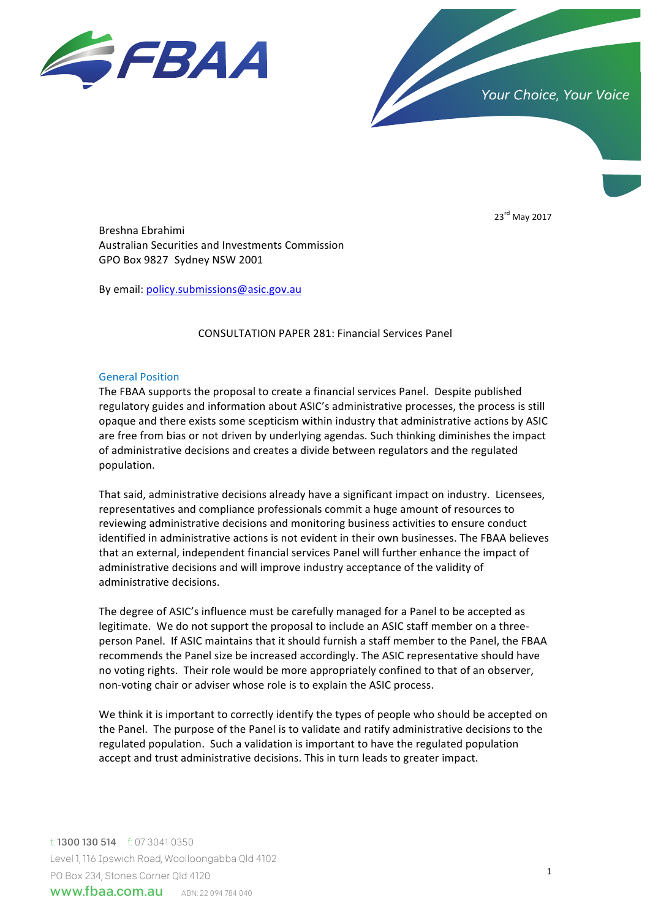



23<sup>rd</sup> May 2017

Breshna Ebrahimi Australian Securities and Investments Commission GPO Box 9827 Sydney NSW 2001

By email: policy.submissions@asic.gov.au

# CONSULTATION PAPER 281: Financial Services Panel

## **General Position**

The FBAA supports the proposal to create a financial services Panel. Despite published regulatory guides and information about ASIC's administrative processes, the process is still opaque and there exists some scepticism within industry that administrative actions by ASIC are free from bias or not driven by underlying agendas. Such thinking diminishes the impact of administrative decisions and creates a divide between regulators and the regulated population. 

That said, administrative decisions already have a significant impact on industry. Licensees, representatives and compliance professionals commit a huge amount of resources to reviewing administrative decisions and monitoring business activities to ensure conduct identified in administrative actions is not evident in their own businesses. The FBAA believes that an external, independent financial services Panel will further enhance the impact of administrative decisions and will improve industry acceptance of the validity of administrative decisions.

The degree of ASIC's influence must be carefully managed for a Panel to be accepted as legitimate. We do not support the proposal to include an ASIC staff member on a threeperson Panel. If ASIC maintains that it should furnish a staff member to the Panel, the FBAA recommends the Panel size be increased accordingly. The ASIC representative should have no voting rights. Their role would be more appropriately confined to that of an observer, non-voting chair or adviser whose role is to explain the ASIC process.

We think it is important to correctly identify the types of people who should be accepted on the Panel. The purpose of the Panel is to validate and ratify administrative decisions to the regulated population. Such a validation is important to have the regulated population accept and trust administrative decisions. This in turn leads to greater impact.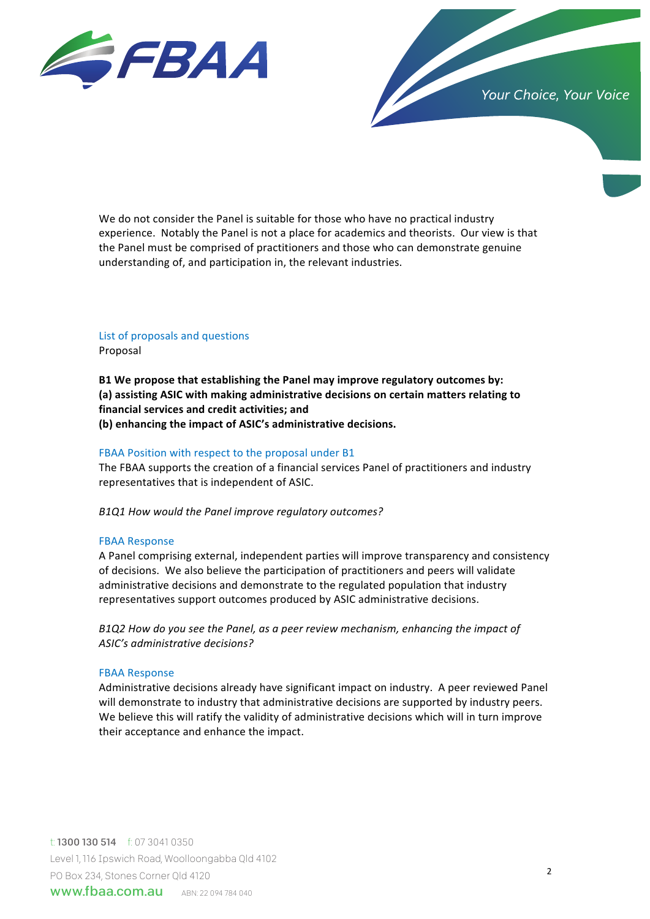

We do not consider the Panel is suitable for those who have no practical industry experience. Notably the Panel is not a place for academics and theorists. Our view is that the Panel must be comprised of practitioners and those who can demonstrate genuine understanding of, and participation in, the relevant industries.

# List of proposals and questions Proposal

B1 We propose that establishing the Panel may improve regulatory outcomes by: (a) assisting ASIC with making administrative decisions on certain matters relating to **financial services and credit activities; and** (b) enhancing the impact of ASIC's administrative decisions.

# FBAA Position with respect to the proposal under B1

The FBAA supports the creation of a financial services Panel of practitioners and industry representatives that is independent of ASIC.

*B1Q1 How would the Panel improve regulatory outcomes?*

## FBAA Response

A Panel comprising external, independent parties will improve transparency and consistency of decisions. We also believe the participation of practitioners and peers will validate administrative decisions and demonstrate to the regulated population that industry representatives support outcomes produced by ASIC administrative decisions.

B1Q2 How do you see the Panel, as a peer review mechanism, enhancing the impact of ASIC's administrative decisions?

## FBAA Response

Administrative decisions already have significant impact on industry. A peer reviewed Panel will demonstrate to industry that administrative decisions are supported by industry peers. We believe this will ratify the validity of administrative decisions which will in turn improve their acceptance and enhance the impact.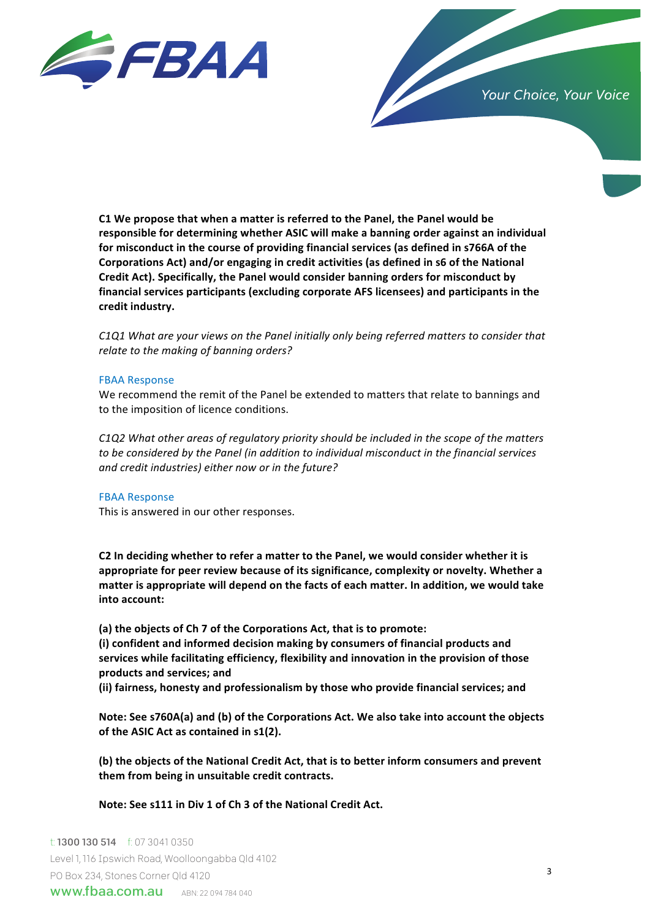

**C1** We propose that when a matter is referred to the Panel, the Panel would be responsible for determining whether ASIC will make a banning order against an individual for misconduct in the course of providing financial services (as defined in s766A of the Corporations Act) and/or engaging in credit activities (as defined in s6 of the National Credit Act). Specifically, the Panel would consider banning orders for misconduct by financial services participants (excluding corporate AFS licensees) and participants in the credit industry.

*C1Q1* What are your views on the Panel initially only being referred matters to consider that relate to the making of banning orders?

#### FBAA Response

We recommend the remit of the Panel be extended to matters that relate to bannings and to the imposition of licence conditions.

*C1Q2* What other areas of regulatory priority should be included in the scope of the matters to be considered by the Panel (in addition to individual misconduct in the financial services and credit industries) either now or in the future?

## FBAA Response

This is answered in our other responses.

C2 In deciding whether to refer a matter to the Panel, we would consider whether it is appropriate for peer review because of its significance, complexity or novelty. Whether a matter is appropriate will depend on the facts of each matter. In addition, we would take **into account:** 

(a) the objects of Ch 7 of the Corporations Act, that is to promote:

(i) confident and informed decision making by consumers of financial products and services while facilitating efficiency, flexibility and innovation in the provision of those **products and services; and**

(ii) fairness, honesty and professionalism by those who provide financial services; and

Note: See s760A(a) and (b) of the Corporations Act. We also take into account the objects of the ASIC Act as contained in s1(2).

**(b)** the objects of the National Credit Act, that is to better inform consumers and prevent them from being in unsuitable credit contracts.

Note: See s111 in Div 1 of Ch 3 of the National Credit Act.

**www.fbaa.com.au** *ABN: 22 094 784 040* And Australia Limited Australia Limited Australia Limited Australia Limited Australia Limited Australia Limited Australia Limited Australia Limited Australia Limited Australia Limite t: 1300 130 514 f: 07 3041 0350 Level1,116 Ipswich Road, Woolloongabba Qld 4102 PO Box 234, Stones Corner Qld 4120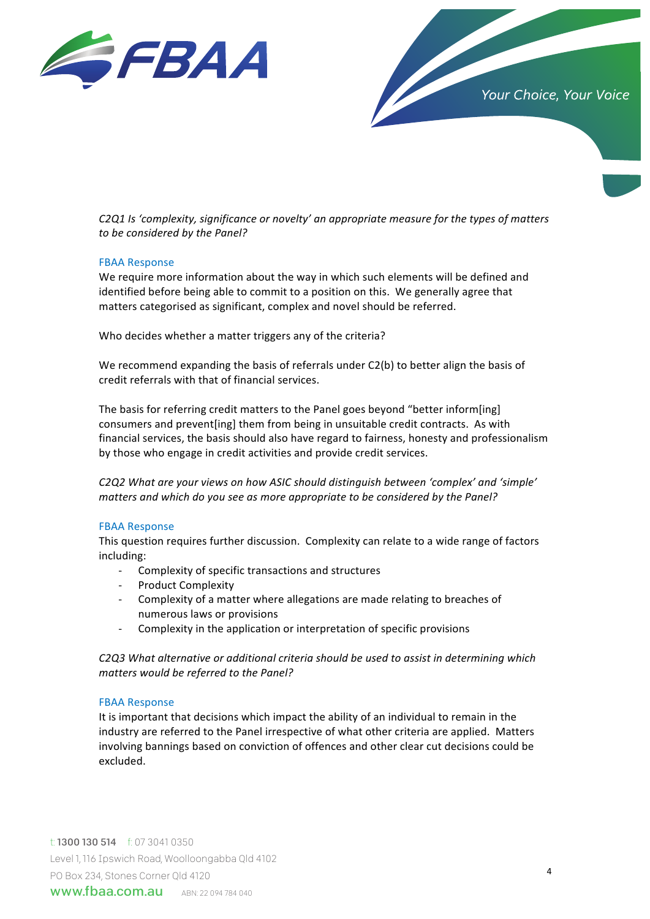



*C2Q1* Is 'complexity, significance or novelty' an appropriate measure for the types of matters to be considered by the Panel?

## FBAA Response

We require more information about the way in which such elements will be defined and identified before being able to commit to a position on this. We generally agree that matters categorised as significant, complex and novel should be referred.

Who decides whether a matter triggers any of the criteria?

We recommend expanding the basis of referrals under  $C2(b)$  to better align the basis of credit referrals with that of financial services.

The basis for referring credit matters to the Panel goes beyond "better inform[ing] consumers and prevent[ing] them from being in unsuitable credit contracts. As with financial services, the basis should also have regard to fairness, honesty and professionalism by those who engage in credit activities and provide credit services.

C2Q2 What are your views on how ASIC should distinguish between 'complex' and 'simple' *matters* and which do you see as more appropriate to be considered by the Panel?

#### FBAA Response

This question requires further discussion. Complexity can relate to a wide range of factors including:

- Complexity of specific transactions and structures
- Product Complexity
- Complexity of a matter where allegations are made relating to breaches of numerous laws or provisions
- Complexity in the application or interpretation of specific provisions

C2Q3 What alternative or additional criteria should be used to assist in determining which *matters would be referred to the Panel?*

#### FBAA Response

It is important that decisions which impact the ability of an individual to remain in the industry are referred to the Panel irrespective of what other criteria are applied. Matters involving bannings based on conviction of offences and other clear cut decisions could be excluded.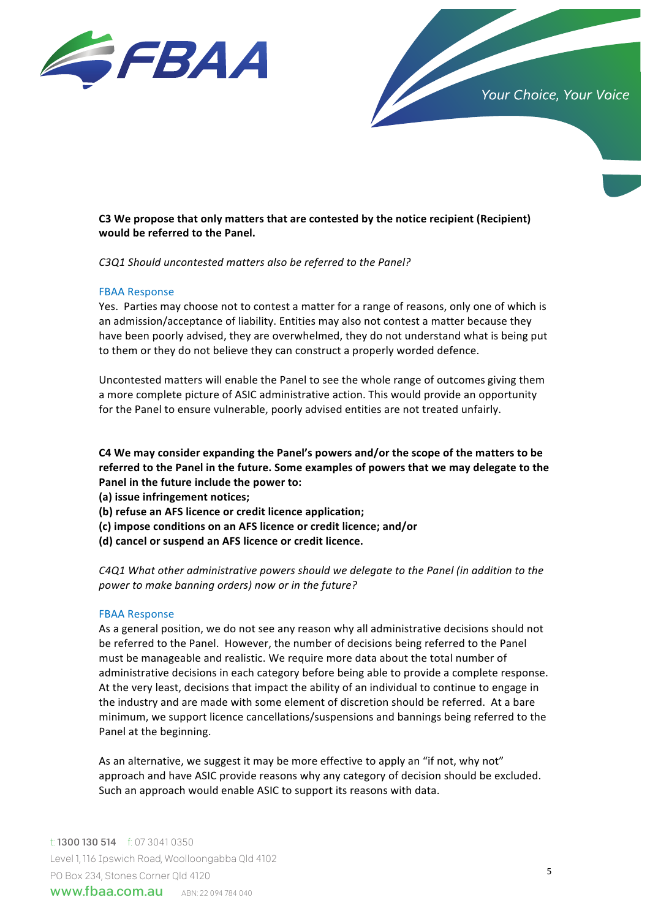



# C3 We propose that only matters that are contested by the notice recipient (Recipient) would be referred to the Panel.

*C3Q1 Should uncontested matters also be referred to the Panel?*

## FBAA Response

Yes. Parties may choose not to contest a matter for a range of reasons, only one of which is an admission/acceptance of liability. Entities may also not contest a matter because they have been poorly advised, they are overwhelmed, they do not understand what is being put to them or they do not believe they can construct a properly worded defence.

Uncontested matters will enable the Panel to see the whole range of outcomes giving them a more complete picture of ASIC administrative action. This would provide an opportunity for the Panel to ensure vulnerable, poorly advised entities are not treated unfairly.

C4 We may consider expanding the Panel's powers and/or the scope of the matters to be referred to the Panel in the future. Some examples of powers that we may delegate to the Panel in the future include the power to:

**(a) issue infringement notices;**

**(b) refuse an AFS licence or credit licence application;**

- **(c) impose conditions on an AFS licence or credit licence; and/or**
- **(d) cancel or suspend an AFS licence or credit licence.**

*C4Q1* What other administrative powers should we delegate to the Panel (in addition to the power to make banning orders) now or in the future?

## FBAA Response

As a general position, we do not see any reason why all administrative decisions should not be referred to the Panel. However, the number of decisions being referred to the Panel must be manageable and realistic. We require more data about the total number of administrative decisions in each category before being able to provide a complete response. At the very least, decisions that impact the ability of an individual to continue to engage in the industry and are made with some element of discretion should be referred. At a bare minimum, we support licence cancellations/suspensions and bannings being referred to the Panel at the beginning.

As an alternative, we suggest it may be more effective to apply an "if not, why not" approach and have ASIC provide reasons why any category of decision should be excluded. Such an approach would enable ASIC to support its reasons with data.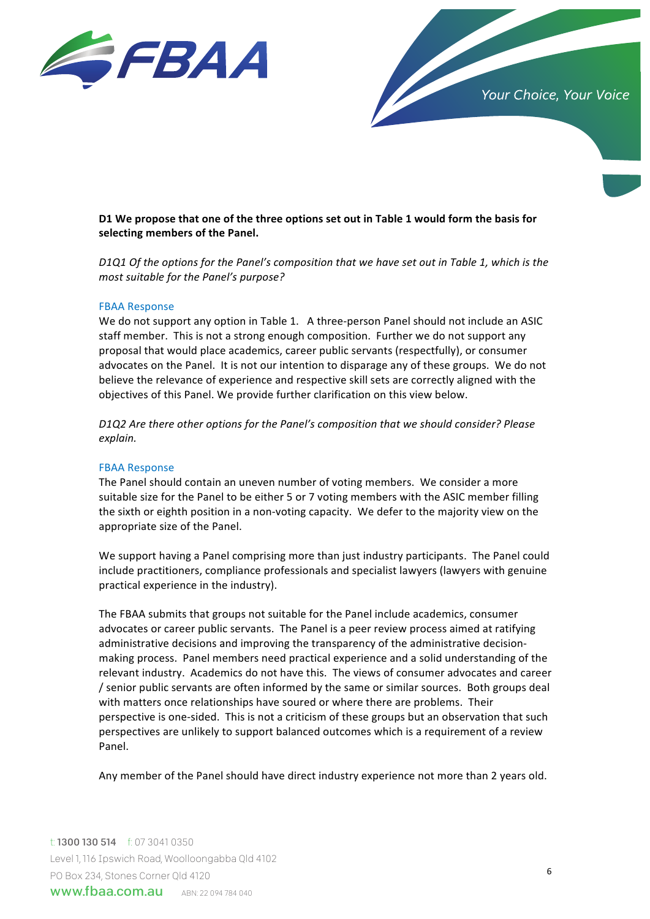

Your Choice, Your Voice

# D1 We propose that one of the three options set out in Table 1 would form the basis for selecting members of the Panel.

*D1Q1* Of the options for the Panel's composition that we have set out in Table 1, which is the *most suitable for the Panel's purpose?* 

#### FBAA Response

We do not support any option in Table 1. A three-person Panel should not include an ASIC staff member. This is not a strong enough composition. Further we do not support any proposal that would place academics, career public servants (respectfully), or consumer advocates on the Panel. It is not our intention to disparage any of these groups. We do not believe the relevance of experience and respective skill sets are correctly aligned with the objectives of this Panel. We provide further clarification on this view below.

*D1Q2* Are there other options for the Panel's composition that we should consider? Please *explain.*

#### FBAA Response

The Panel should contain an uneven number of voting members. We consider a more suitable size for the Panel to be either 5 or 7 voting members with the ASIC member filling the sixth or eighth position in a non-voting capacity. We defer to the majority view on the appropriate size of the Panel.

We support having a Panel comprising more than just industry participants. The Panel could include practitioners, compliance professionals and specialist lawyers (lawyers with genuine practical experience in the industry).

The FBAA submits that groups not suitable for the Panel include academics, consumer advocates or career public servants. The Panel is a peer review process aimed at ratifying administrative decisions and improving the transparency of the administrative decisionmaking process. Panel members need practical experience and a solid understanding of the relevant industry. Academics do not have this. The views of consumer advocates and career / senior public servants are often informed by the same or similar sources. Both groups deal with matters once relationships have soured or where there are problems. Their perspective is one-sided. This is not a criticism of these groups but an observation that such perspectives are unlikely to support balanced outcomes which is a requirement of a review Panel. 

Any member of the Panel should have direct industry experience not more than 2 years old.